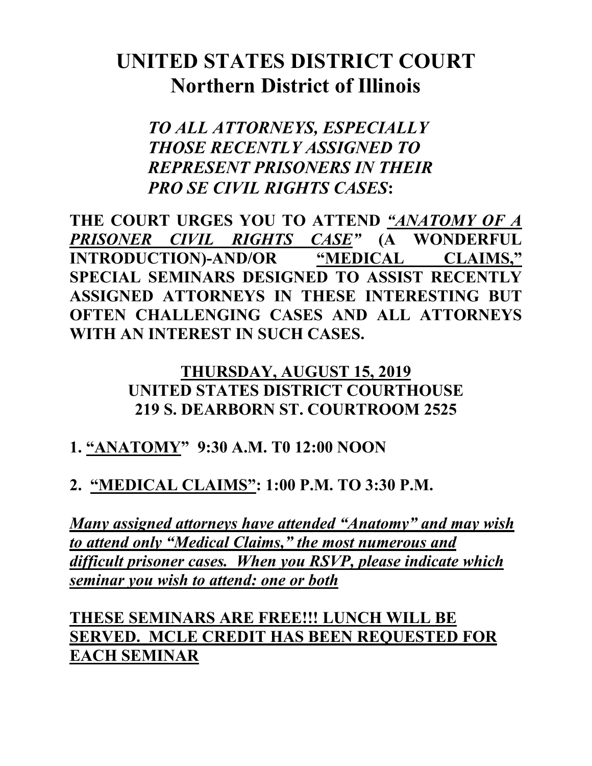# **UNITED STATES DISTRICT COURT Northern District of Illinois**

*TO ALL ATTORNEYS, ESPECIALLY THOSE RECENTLY ASSIGNED TO REPRESENT PRISONERS IN THEIR PRO SE CIVIL RIGHTS CASES***:**

**THE COURT URGES YOU TO ATTEND** *"ANATOMY OF A PRISONER CIVIL RIGHTS CASE"* **(A WONDERFUL INTRODUCTION)-AND/OR "MEDICAL CLAIMS," SPECIAL SEMINARS DESIGNED TO ASSIST RECENTLY ASSIGNED ATTORNEYS IN THESE INTERESTING BUT OFTEN CHALLENGING CASES AND ALL ATTORNEYS WITH AN INTEREST IN SUCH CASES.** 

#### **THURSDAY, AUGUST 15, 2019 UNITED STATES DISTRICT COURTHOUSE 219 S. DEARBORN ST. COURTROOM 2525**

## **1. "ANATOMY" 9:30 A.M. T0 12:00 NOON**

## **2. "MEDICAL CLAIMS": 1:00 P.M. TO 3:30 P.M.**

*Many assigned attorneys have attended "Anatomy" and may wish to attend only "Medical Claims," the most numerous and difficult prisoner cases. When you RSVP, please indicate which seminar you wish to attend: one or both*

**THESE SEMINARS ARE FREE!!! LUNCH WILL BE SERVED. MCLE CREDIT HAS BEEN REQUESTED FOR EACH SEMINAR**